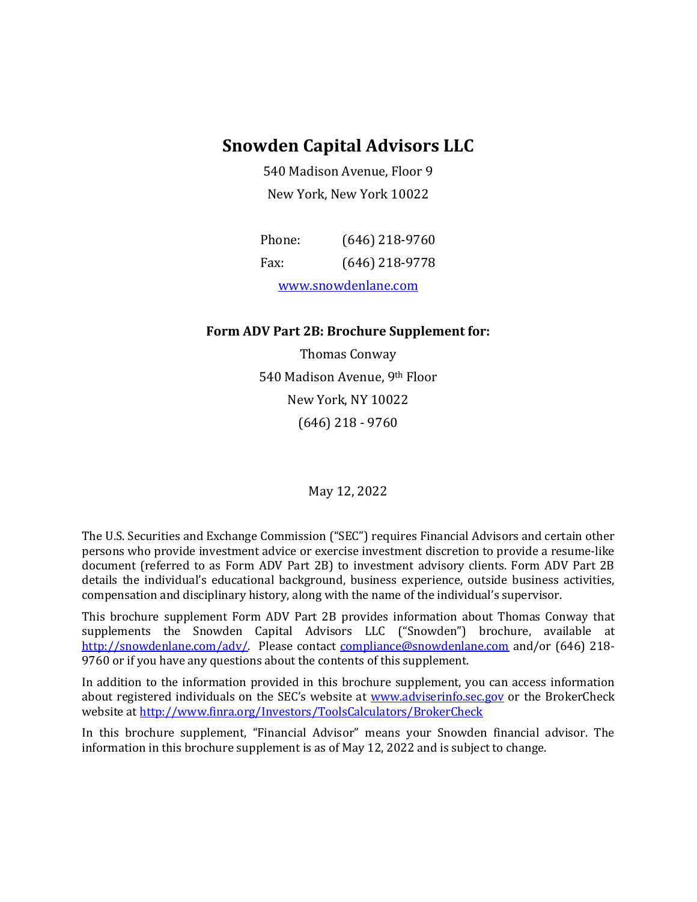### **Snowden Capital Advisors LLC**

540 Madison Avenue, Floor 9 New York, New York 10022

| Phone:              | $(646)$ 218-9760 |
|---------------------|------------------|
| Fax:                | $(646)$ 218-9778 |
| www.snowdenlane.com |                  |

#### **Form ADV Part 2B: Brochure Supplement for:**

Thomas Conway 540 Madison Avenue, 9th Floor New York, NY 10022 (646) 218 - 9760

May 12, 2022

The U.S. Securities and Exchange Commission ("SEC") requires Financial Advisors and certain other persons who provide investment advice or exercise investment discretion to provide a resume-like document (referred to as Form ADV Part 2B) to investment advisory clients. Form ADV Part 2B details the individual's educational background, business experience, outside business activities, compensation and disciplinary history, along with the name of the individual's supervisor.

This brochure supplement Form ADV Part 2B provides information about Thomas Conway that supplements the Snowden Capital Advisors LLC ("Snowden") brochure, available at [http://snowdenlane.com/adv/.](http://snowdenlane.com/adv/) Please contact [compliance@snowdenlane.com](mailto:compliance@snowdenlane.com) and/or (646) 218-9760 or if you have any questions about the contents of this supplement.

In addition to the information provided in this brochure supplement, you can access information about registered individuals on the SEC's website at [www.adviserinfo.sec.gov](http://www.adviserinfo.sec.gov/) or the BrokerCheck website a[t http://www.finra.org/Investors/ToolsCalculators/BrokerCheck](http://www.finra.org/Investors/ToolsCalculators/BrokerCheck)

In this brochure supplement, "Financial Advisor" means your Snowden financial advisor. The information in this brochure supplement is as of May 12, 2022 and is subject to change.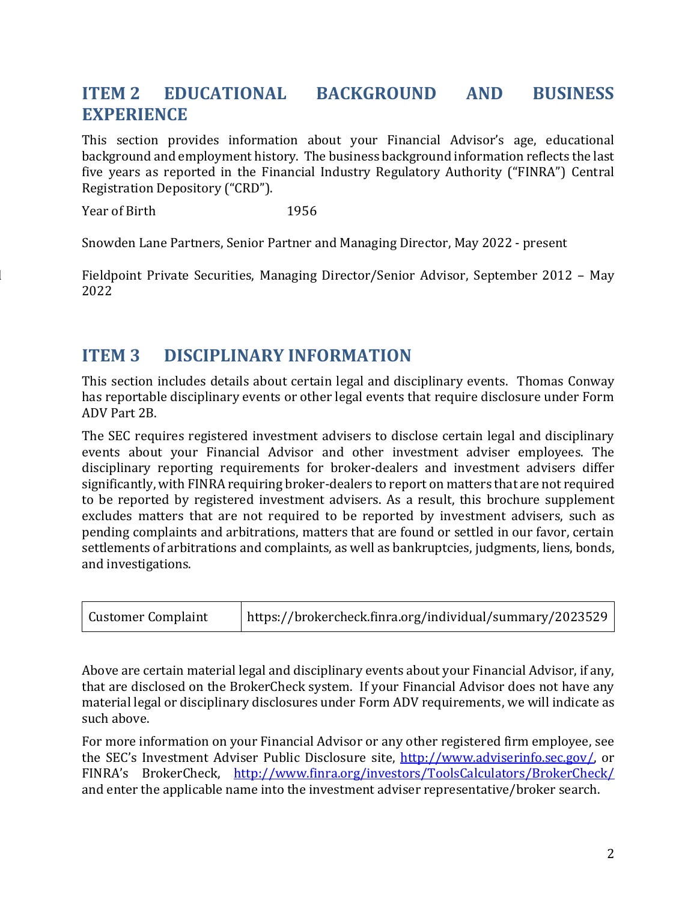## **ITEM 2 EDUCATIONAL BACKGROUND AND BUSINESS EXPERIENCE**

This section provides information about your Financial Advisor's age, educational background and employment history. The business background information reflects the last five years as reported in the Financial Industry Regulatory Authority ("FINRA") Central Registration Depository ("CRD").

Year of Birth 1956

Snowden Lane Partners, Senior Partner and Managing Director, May 2022 - present

Fieldpoint Private Securities, Managing Director/Senior Advisor, September 2012 – May 2022

### **ITEM 3 DISCIPLINARY INFORMATION**

This section includes details about certain legal and disciplinary events. Thomas Conway has reportable disciplinary events or other legal events that require disclosure under Form ADV Part 2B.

The SEC requires registered investment advisers to disclose certain legal and disciplinary events about your Financial Advisor and other investment adviser employees. The disciplinary reporting requirements for broker-dealers and investment advisers differ significantly, with FINRA requiring broker-dealers to report on matters that are not required to be reported by registered investment advisers. As a result, this brochure supplement excludes matters that are not required to be reported by investment advisers, such as pending complaints and arbitrations, matters that are found or settled in our favor, certain settlements of arbitrations and complaints, as well as bankruptcies, judgments, liens, bonds, and investigations.

| <b>Customer Complaint</b> | https://brokercheck.finra.org/individual/summary/2023529 |
|---------------------------|----------------------------------------------------------|
|---------------------------|----------------------------------------------------------|

Above are certain material legal and disciplinary events about your Financial Advisor, if any, that are disclosed on the BrokerCheck system. If your Financial Advisor does not have any material legal or disciplinary disclosures under Form ADV requirements, we will indicate as such above.

For more information on your Financial Advisor or any other registered firm employee, see the SEC's Investment Adviser Public Disclosure site, [http://www.adviserinfo.sec.gov/,](http://www.adviserinfo.sec.gov/) or FINRA's BrokerCheck, <http://www.finra.org/investors/ToolsCalculators/BrokerCheck/> and enter the applicable name into the investment adviser representative/broker search.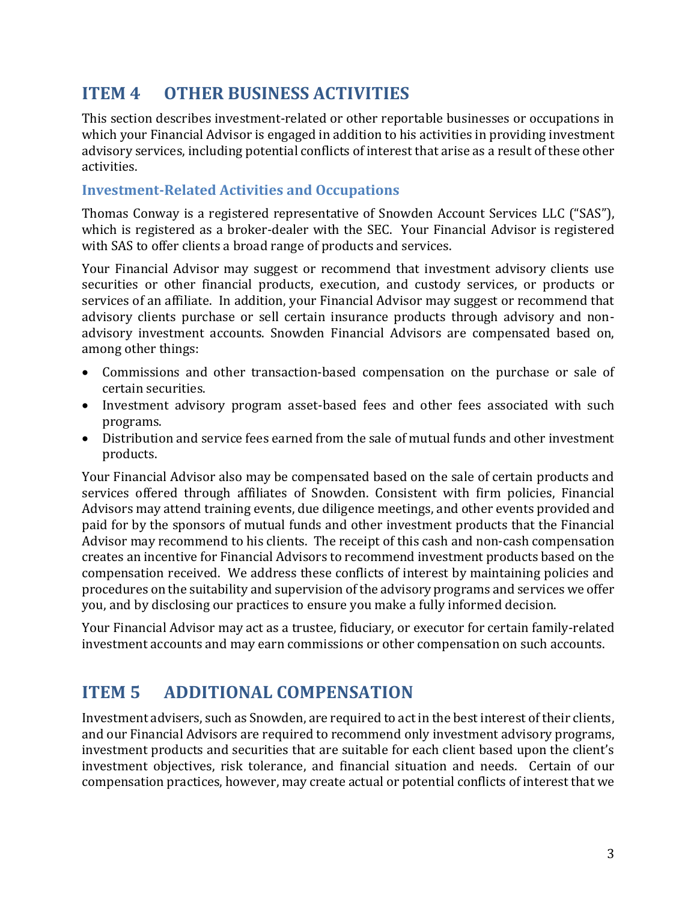## **ITEM 4 OTHER BUSINESS ACTIVITIES**

This section describes investment-related or other reportable businesses or occupations in which your Financial Advisor is engaged in addition to his activities in providing investment advisory services, including potential conflicts of interest that arise as a result of these other activities.

#### **Investment-Related Activities and Occupations**

Thomas Conway is a registered representative of Snowden Account Services LLC ("SAS"), which is registered as a broker-dealer with the SEC. Your Financial Advisor is registered with SAS to offer clients a broad range of products and services.

Your Financial Advisor may suggest or recommend that investment advisory clients use securities or other financial products, execution, and custody services, or products or services of an affiliate. In addition, your Financial Advisor may suggest or recommend that advisory clients purchase or sell certain insurance products through advisory and nonadvisory investment accounts. Snowden Financial Advisors are compensated based on, among other things:

- Commissions and other transaction-based compensation on the purchase or sale of certain securities.
- Investment advisory program asset-based fees and other fees associated with such programs.
- Distribution and service fees earned from the sale of mutual funds and other investment products.

Your Financial Advisor also may be compensated based on the sale of certain products and services offered through affiliates of Snowden. Consistent with firm policies, Financial Advisors may attend training events, due diligence meetings, and other events provided and paid for by the sponsors of mutual funds and other investment products that the Financial Advisor may recommend to his clients. The receipt of this cash and non-cash compensation creates an incentive for Financial Advisors to recommend investment products based on the compensation received. We address these conflicts of interest by maintaining policies and procedures on the suitability and supervision of the advisory programs and services we offer you, and by disclosing our practices to ensure you make a fully informed decision.

Your Financial Advisor may act as a trustee, fiduciary, or executor for certain family-related investment accounts and may earn commissions or other compensation on such accounts.

### **ITEM 5 ADDITIONAL COMPENSATION**

Investment advisers, such as Snowden, are required to act in the best interest of their clients, and our Financial Advisors are required to recommend only investment advisory programs, investment products and securities that are suitable for each client based upon the client's investment objectives, risk tolerance, and financial situation and needs. Certain of our compensation practices, however, may create actual or potential conflicts of interest that we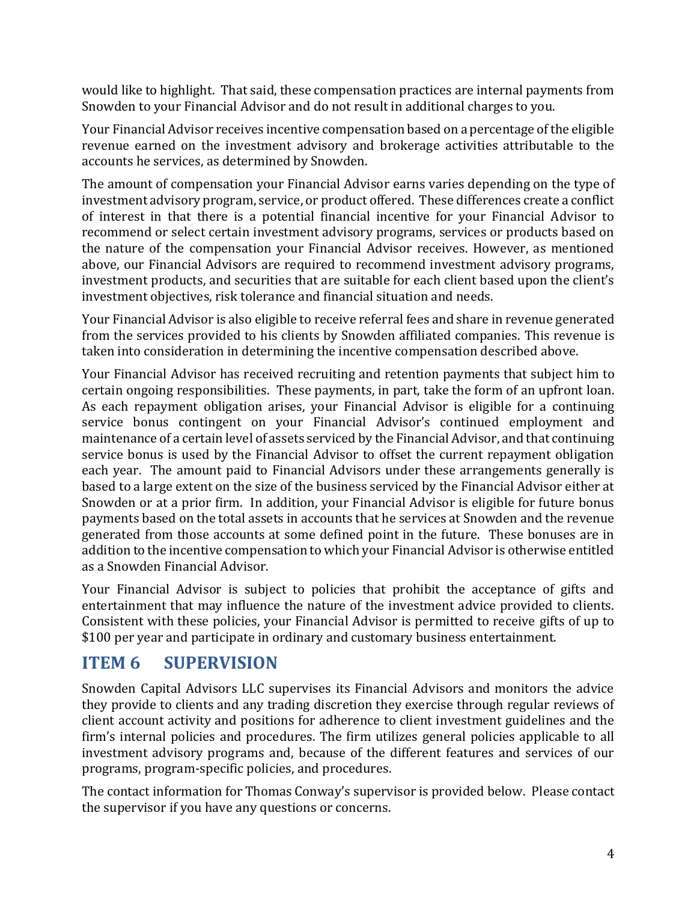would like to highlight. That said, these compensation practices are internal payments from Snowden to your Financial Advisor and do not result in additional charges to you.

Your Financial Advisor receives incentive compensation based on a percentage of the eligible revenue earned on the investment advisory and brokerage activities attributable to the accounts he services, as determined by Snowden.

The amount of compensation your Financial Advisor earns varies depending on the type of investment advisory program, service, or product offered. These differences create a conflict of interest in that there is a potential financial incentive for your Financial Advisor to recommend or select certain investment advisory programs, services or products based on the nature of the compensation your Financial Advisor receives. However, as mentioned above, our Financial Advisors are required to recommend investment advisory programs, investment products, and securities that are suitable for each client based upon the client's investment objectives, risk tolerance and financial situation and needs.

Your Financial Advisor is also eligible to receive referral fees and share in revenue generated from the services provided to his clients by Snowden affiliated companies. This revenue is taken into consideration in determining the incentive compensation described above.

Your Financial Advisor has received recruiting and retention payments that subject him to certain ongoing responsibilities. These payments, in part, take the form of an upfront loan. As each repayment obligation arises, your Financial Advisor is eligible for a continuing service bonus contingent on your Financial Advisor's continued employment and maintenance of a certain level of assets serviced by the Financial Advisor, and that continuing service bonus is used by the Financial Advisor to offset the current repayment obligation each year. The amount paid to Financial Advisors under these arrangements generally is based to a large extent on the size of the business serviced by the Financial Advisor either at Snowden or at a prior firm. In addition, your Financial Advisor is eligible for future bonus payments based on the total assets in accounts that he services at Snowden and the revenue generated from those accounts at some defined point in the future. These bonuses are in addition to the incentive compensation to which your Financial Advisor is otherwise entitled as a Snowden Financial Advisor.

Your Financial Advisor is subject to policies that prohibit the acceptance of gifts and entertainment that may influence the nature of the investment advice provided to clients. Consistent with these policies, your Financial Advisor is permitted to receive gifts of up to \$100 per year and participate in ordinary and customary business entertainment.

# **ITEM 6 SUPERVISION**

Snowden Capital Advisors LLC supervises its Financial Advisors and monitors the advice they provide to clients and any trading discretion they exercise through regular reviews of client account activity and positions for adherence to client investment guidelines and the firm's internal policies and procedures. The firm utilizes general policies applicable to all investment advisory programs and, because of the different features and services of our programs, program-specific policies, and procedures.

The contact information for Thomas Conway's supervisor is provided below. Please contact the supervisor if you have any questions or concerns.